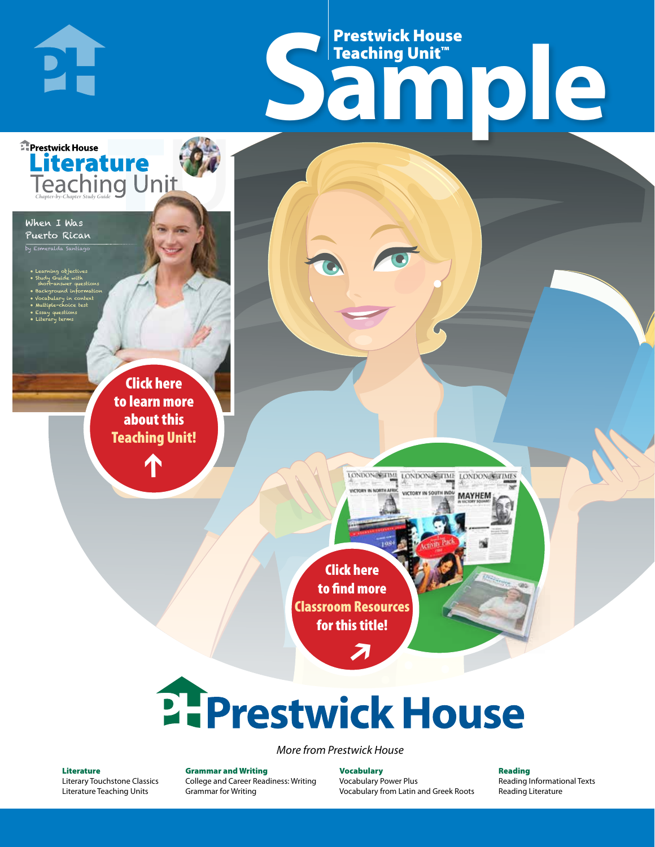# Frestwick House<br>
Sample **Prestwick House**<br>Teaching Unit<sup>\*\*</sup> Teaching Unit™

LONDON-SCITME LONDON/SCITME LONDON/SCITMES

MAYHEM

Puerto Rican eralda Santiag

**E** Prestwick House

**PH** 

When I Was

• Learning objectives • Study Guide with short-answer questions • Background information • Vocabulary in context

• Multiple-choice test • Essay questions • Literary terms

CHARLES DICKENS

**A Tale of Two Cities**

**Literature** 

r e o r d e r n o . x x x x x x Click here to learn more about this [Teaching Unit!](https://www.prestwickhouse.com/pdf/id-201249/When_I_Was_Puerto_Rican_-_Downloadable_Teaching_Unit)

 $\mathbf{T}$ 

1

Click here to find more [Classroom Resources](http://teaching-english.prestwickhouse.com/search#w=When%20I%20was%20puerto%20rican)  for this title!

 $\overline{\boldsymbol{\lambda}}$ 

# **2. Prestwick House**

*More from Prestwick House*

#### Literature

[Literary Touchstone Classics](https://www.prestwickhouse.com/literary-touchstone-classics) [Literature Teaching Units](https://www.prestwickhouse.com/teaching-units)

Grammar and Writing [College and Career Readiness: Writing](https://www.prestwickhouse.com/college-and-career-readiness-writing) [Grammar for Writing](https://www.prestwickhouse.com/book/id-302639/Grammar_for_Writing_-_30_Books_and_Teachers_Edition)

Vocabulary [Vocabulary Power Plus](https://www.prestwickhouse.com/vocabulary-power-plus-for-college-and-career-readiness) [Vocabulary from Latin and Greek Roots](https://www.prestwickhouse.com/vocabulary-from-latin-and-greek-roots) Reading

[Reading Informational Texts](https://www.prestwickhouse.com/reading-informational-texts) [Reading Literature](https://www.prestwickhouse.com/reading-literature)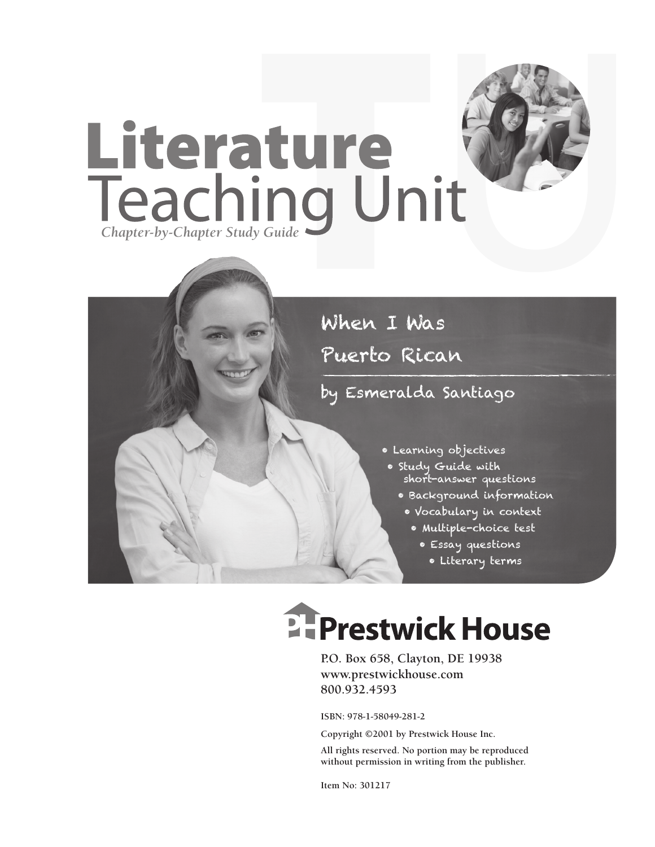

### by Esmeralda Santiago

- Learning objectives
- Study Guide with short-answer questions
	- Background information
		- Vocabulary in context
			- Multiple-choice test
				- Essay questions
					- Literary terms

# **Ellergetwick House**

**P.O. Box 658, Clayton, DE 19938 www.prestwickhouse.com 800.932.4593**

**ISBN: 978-1-58049-281-2**

**Copyright ©2001 by Prestwick House Inc.**

**All rights reserved. No portion may be reproduced without permission in writing from the publisher.** 

**Item No: 301217**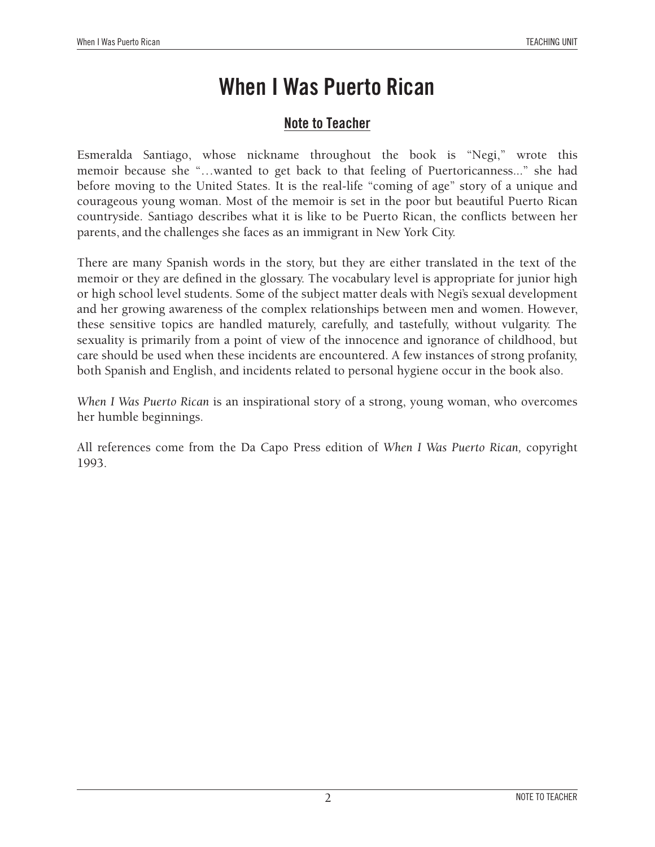### **Note to Teacher**

Esmeralda Santiago, whose nickname throughout the book is "Negi," wrote this memoir because she "…wanted to get back to that feeling of Puertoricanness..." she had before moving to the United States. It is the real-life "coming of age" story of a unique and courageous young woman. Most of the memoir is set in the poor but beautiful Puerto Rican countryside. Santiago describes what it is like to be Puerto Rican, the conflicts between her parents, and the challenges she faces as an immigrant in New York City.

There are many Spanish words in the story, but they are either translated in the text of the memoir or they are defined in the glossary. The vocabulary level is appropriate for junior high or high school level students. Some of the subject matter deals with Negi's sexual development and her growing awareness of the complex relationships between men and women. However, these sensitive topics are handled maturely, carefully, and tastefully, without vulgarity. The sexuality is primarily from a point of view of the innocence and ignorance of childhood, but care should be used when these incidents are encountered. A few instances of strong profanity, both Spanish and English, and incidents related to personal hygiene occur in the book also.

*When I Was Puerto Rican* is an inspirational story of a strong, young woman, who overcomes her humble beginnings.

All references come from the Da Capo Press edition of *When I Was Puerto Rican,* copyright 1993.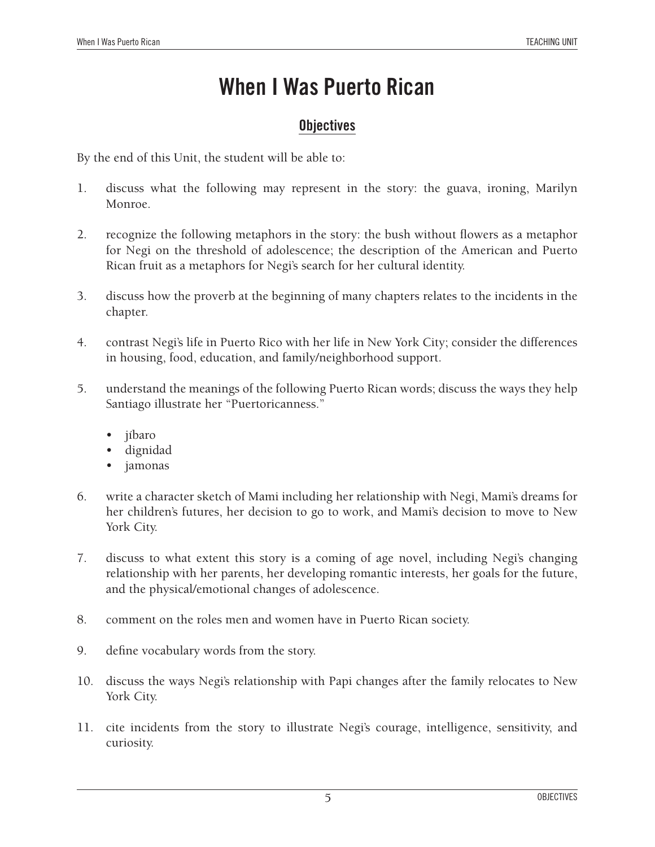### **Objectives**

By the end of this Unit, the student will be able to:

- 1. discuss what the following may represent in the story: the guava, ironing, Marilyn Monroe.
- 2. recognize the following metaphors in the story: the bush without flowers as a metaphor for Negi on the threshold of adolescence; the description of the American and Puerto Rican fruit as a metaphors for Negi's search for her cultural identity.
- 3. discuss how the proverb at the beginning of many chapters relates to the incidents in the chapter.
- 4. contrast Negi's life in Puerto Rico with her life in New York City; consider the differences in housing, food, education, and family/neighborhood support.
- 5. understand the meanings of the following Puerto Rican words; discuss the ways they help Santiago illustrate her "Puertoricanness."
	- jíbaro
	- dignidad
	- • jamonas
- 6. write a character sketch of Mami including her relationship with Negi, Mami's dreams for her children's futures, her decision to go to work, and Mami's decision to move to New York City.
- 7. discuss to what extent this story is a coming of age novel, including Negi's changing relationship with her parents, her developing romantic interests, her goals for the future, and the physical/emotional changes of adolescence.
- 8. comment on the roles men and women have in Puerto Rican society.
- 9. define vocabulary words from the story.
- 10. discuss the ways Negi's relationship with Papi changes after the family relocates to New York City.
- 11. cite incidents from the story to illustrate Negi's courage, intelligence, sensitivity, and curiosity.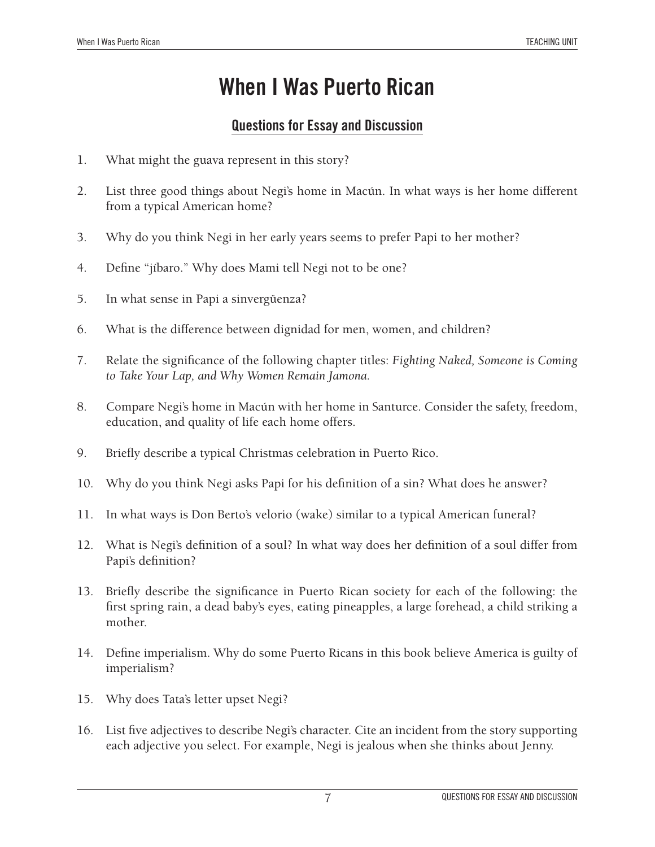### **Questions for Essay and Discussion**

- 1. What might the guava represent in this story?
- 2. List three good things about Negi's home in Macún. In what ways is her home different from a typical American home?
- 3. Why do you think Negi in her early years seems to prefer Papi to her mother?
- 4. Define "jíbaro." Why does Mami tell Negi not to be one?
- 5. In what sense in Papi a sinvergüenza?
- 6. What is the difference between dignidad for men, women, and children?
- 7. Relate the significance of the following chapter titles: *Fighting Naked, Someone is Coming to Take Your Lap, and Why Women Remain Jamona.*
- 8. Compare Negi's home in Macún with her home in Santurce. Consider the safety, freedom, education, and quality of life each home offers.
- 9. Briefly describe a typical Christmas celebration in Puerto Rico.
- 10. Why do you think Negi asks Papi for his definition of a sin? What does he answer?
- 11. In what ways is Don Berto's velorio (wake) similar to a typical American funeral?
- 12. What is Negi's definition of a soul? In what way does her definition of a soul differ from Papi's definition?
- 13. Briefly describe the significance in Puerto Rican society for each of the following: the first spring rain, a dead baby's eyes, eating pineapples, a large forehead, a child striking a mother.
- 14. Define imperialism. Why do some Puerto Ricans in this book believe America is guilty of imperialism?
- 15. Why does Tata's letter upset Negi?
- 16. List five adjectives to describe Negi's character. Cite an incident from the story supporting each adjective you select. For example, Negi is jealous when she thinks about Jenny.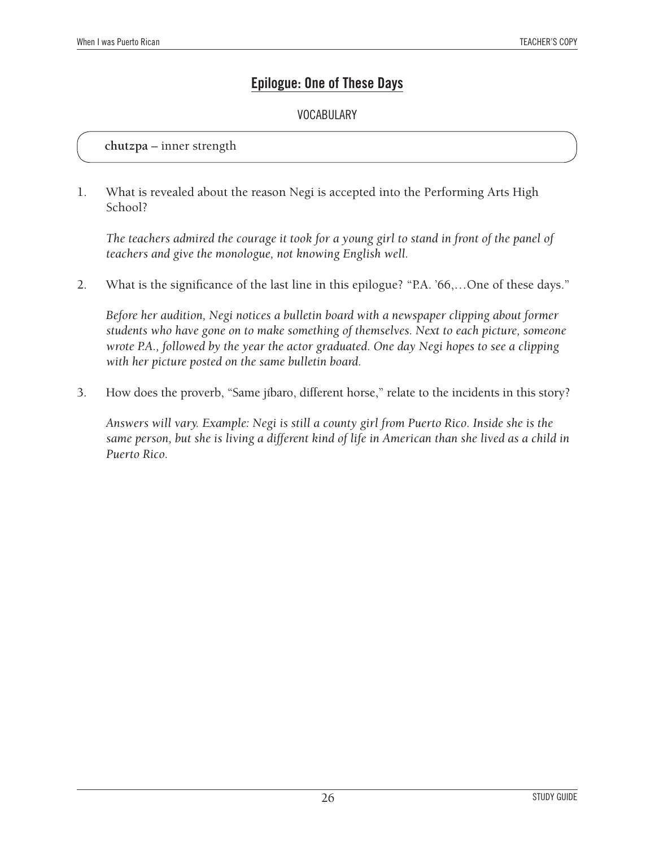### **Epilogue: One of These Days**

#### Vocabulary

#### **chutzpa** – inner strength

1. What is revealed about the reason Negi is accepted into the Performing Arts High School?

*The teachers admired the courage it took for a young girl to stand in front of the panel of teachers and give the monologue, not knowing English well.*

2. What is the significance of the last line in this epilogue? "P.A. '66,…One of these days."

*Before her audition, Negi notices a bulletin board with a newspaper clipping about former students who have gone on to make something of themselves. Next to each picture, someone wrote P.A., followed by the year the actor graduated. One day Negi hopes to see a clipping with her picture posted on the same bulletin board.*

3. How does the proverb, "Same jíbaro, different horse," relate to the incidents in this story?

*Answers will vary. Example: Negi is still a county girl from Puerto Rico. Inside she is the same person, but she is living a different kind of life in American than she lived as a child in Puerto Rico.*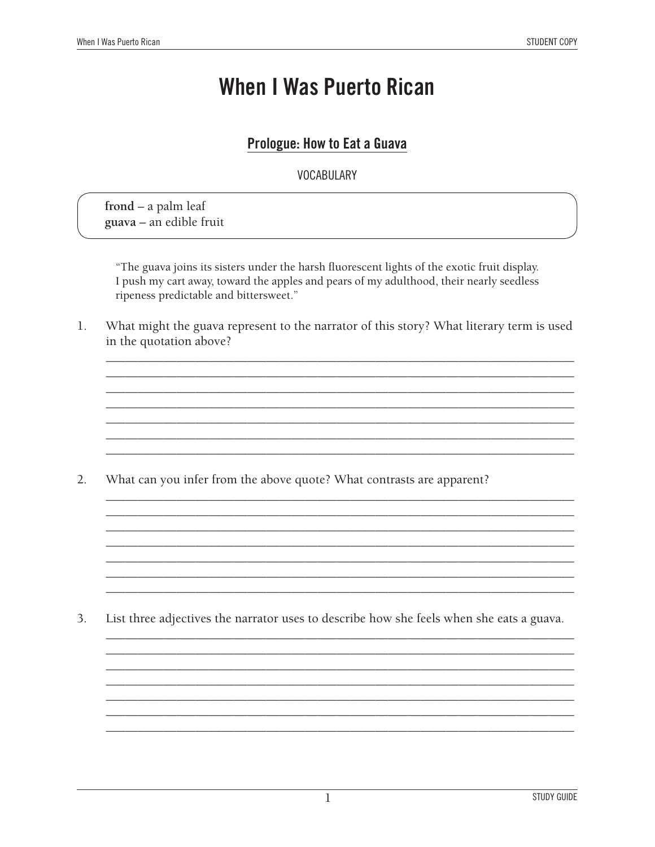### Prologue: How to Eat a Guava

**VOCABULARY** 

 $from d - a$  palm leaf guava - an edible fruit

"The guava joins its sisters under the harsh fluorescent lights of the exotic fruit display. I push my cart away, toward the apples and pears of my adulthood, their nearly seedless ripeness predictable and bittersweet."

 $\mathbf{1}$ . What might the guava represent to the narrator of this story? What literary term is used in the quotation above?

 $2.$ What can you infer from the above quote? What contrasts are apparent?

3. List three adjectives the narrator uses to describe how she feels when she eats a guava.